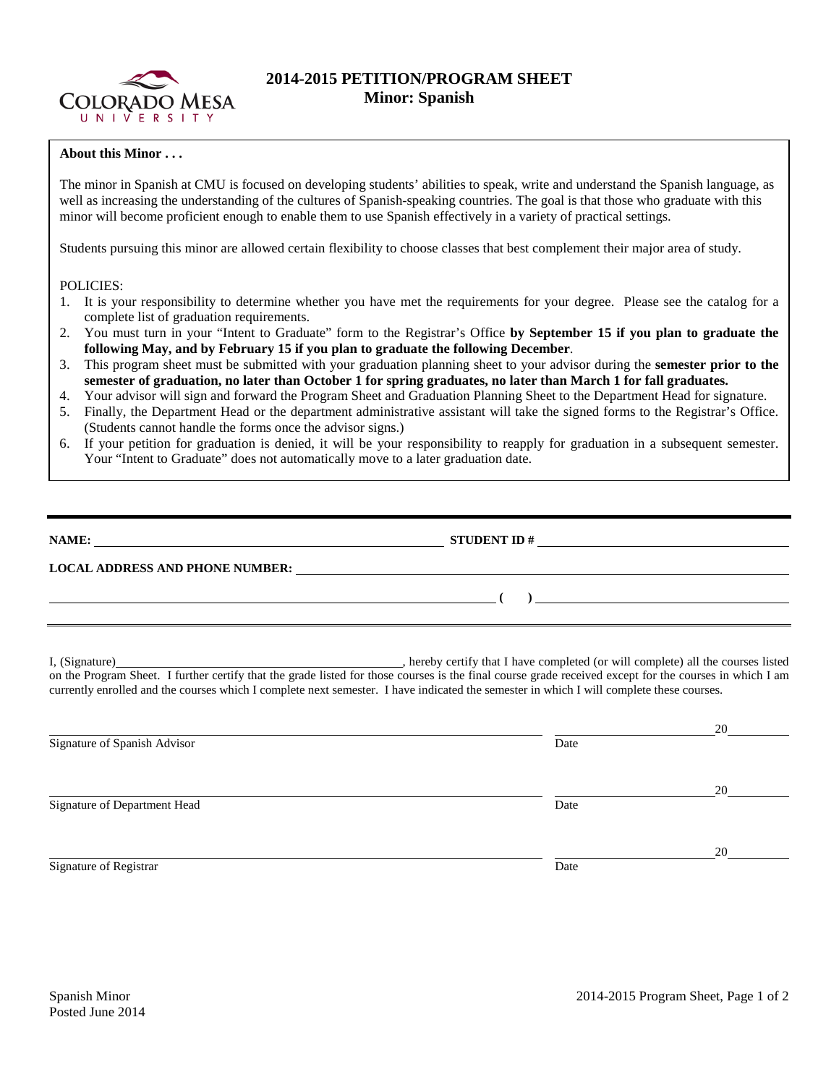

## **2014-2015 PETITION/PROGRAM SHEET Minor: Spanish**

## **About this Minor . . .**

The minor in Spanish at CMU is focused on developing students' abilities to speak, write and understand the Spanish language, as well as increasing the understanding of the cultures of Spanish-speaking countries. The goal is that those who graduate with this minor will become proficient enough to enable them to use Spanish effectively in a variety of practical settings.

Students pursuing this minor are allowed certain flexibility to choose classes that best complement their major area of study.

## POLICIES:

- 1. It is your responsibility to determine whether you have met the requirements for your degree. Please see the catalog for a complete list of graduation requirements.
- 2. You must turn in your "Intent to Graduate" form to the Registrar's Office **by September 15 if you plan to graduate the following May, and by February 15 if you plan to graduate the following December**.
- 3. This program sheet must be submitted with your graduation planning sheet to your advisor during the **semester prior to the semester of graduation, no later than October 1 for spring graduates, no later than March 1 for fall graduates.**
- 4. Your advisor will sign and forward the Program Sheet and Graduation Planning Sheet to the Department Head for signature.
- 5. Finally, the Department Head or the department administrative assistant will take the signed forms to the Registrar's Office. (Students cannot handle the forms once the advisor signs.)
- 6. If your petition for graduation is denied, it will be your responsibility to reapply for graduation in a subsequent semester. Your "Intent to Graduate" does not automatically move to a later graduation date.

| NAME:<br><u> 1989 - Johann Stein, mars and de Britain and de Britain and de Britain and de Britain and de Britain and de</u> |                                                                                                                       |  |  |  |
|------------------------------------------------------------------------------------------------------------------------------|-----------------------------------------------------------------------------------------------------------------------|--|--|--|
|                                                                                                                              | <u> 1980 - Jan Stein Harry Stein Harry Stein Harry Stein Harry Stein Harry Stein Harry Stein Harry Stein Harry St</u> |  |  |  |
|                                                                                                                              |                                                                                                                       |  |  |  |

I, (Signature) , hereby certify that I have completed (or will complete) all the courses listed on the Program Sheet. I further certify that the grade listed for those courses is the final course grade received except for the courses in which I am currently enrolled and the courses which I complete next semester. I have indicated the semester in which I will complete these courses.

|                              |      | 20 |
|------------------------------|------|----|
| Signature of Spanish Advisor | Date |    |
|                              |      |    |
|                              |      | 20 |
| Signature of Department Head | Date |    |
|                              |      |    |
|                              |      | 20 |
| Signature of Registrar       | Date |    |
|                              |      |    |